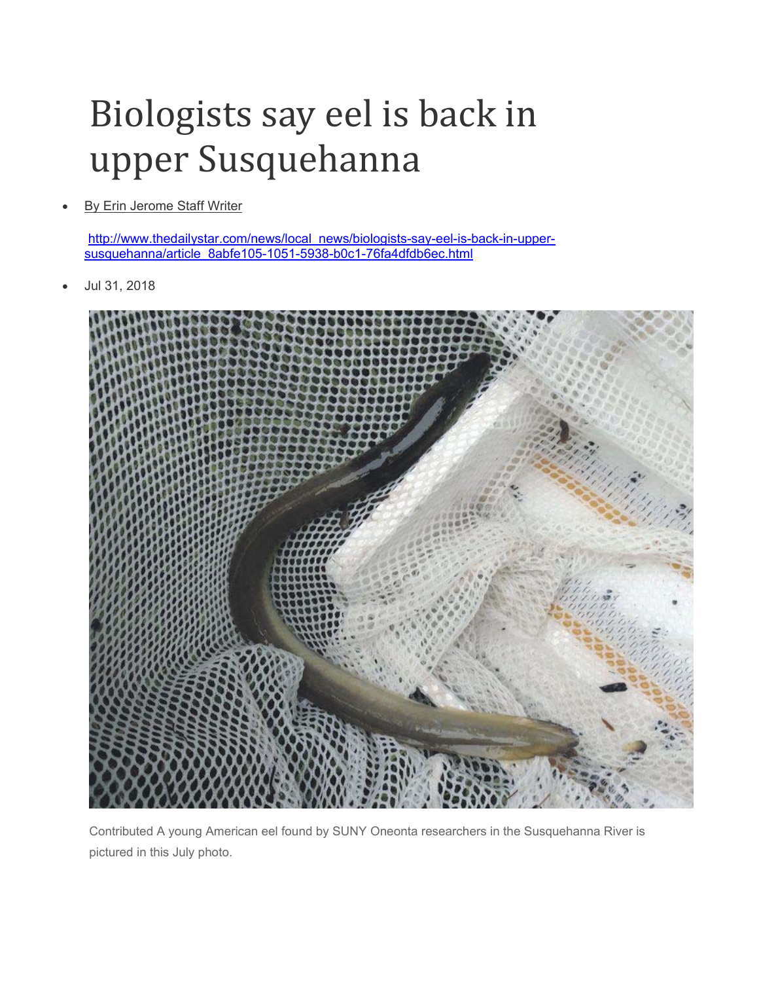## Biologists say eel is back in upper Susquehanna

By Erin Jerome Staff Writer

http://www.thedailystar.com/news/local\_news/biologists-say-eel-is-back-in-uppersusquehanna/article\_8abfe105-1051-5938-b0c1-76fa4dfdb6ec.html

Jul 31, 2018



Contributed A young American eel found by SUNY Oneonta researchers in the Susquehanna River is pictured in this July photo.